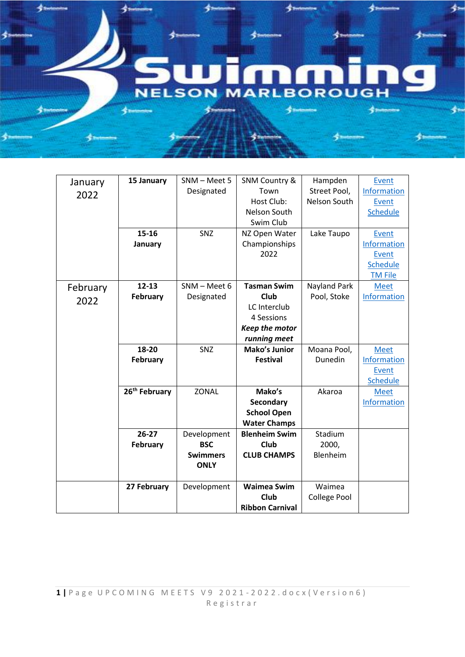## **NELSON BOROUGH** RІ

∮⊨

4.

| January  | 15 January                | SNM - Meet 5    | <b>SNM Country &amp;</b>       | Hampden             | Event          |
|----------|---------------------------|-----------------|--------------------------------|---------------------|----------------|
| 2022     |                           | Designated      | Town                           | Street Pool,        | Information    |
|          |                           |                 | Host Club:                     | Nelson South        | Event          |
|          |                           |                 | Nelson South                   |                     | Schedule       |
|          |                           |                 | Swim Club                      |                     |                |
|          | 15-16                     | SNZ             | NZ Open Water                  | Lake Taupo          | Event          |
|          | January                   |                 | Championships                  |                     | Information    |
|          |                           |                 | 2022                           |                     | Event          |
|          |                           |                 |                                |                     | Schedule       |
|          |                           |                 |                                |                     | <b>TM File</b> |
| February | $12 - 13$                 | $SNM - Meet 6$  | <b>Tasman Swim</b>             | Nayland Park        | <b>Meet</b>    |
| 2022     | February                  | Designated      | Club                           | Pool, Stoke         | Information    |
|          |                           |                 | LC Interclub                   |                     |                |
|          |                           |                 | 4 Sessions                     |                     |                |
|          |                           |                 | Keep the motor                 |                     |                |
|          |                           |                 | running meet                   |                     |                |
|          |                           |                 |                                |                     |                |
|          | 18-20                     | SNZ             | <b>Mako's Junior</b>           | Moana Pool,         | <b>Meet</b>    |
|          | February                  |                 | <b>Festival</b>                | Dunedin             | Information    |
|          |                           |                 |                                |                     | Event          |
|          |                           |                 |                                |                     | Schedule       |
|          | 26 <sup>th</sup> February | <b>ZONAL</b>    | Mako's                         | Akaroa              | <b>Meet</b>    |
|          |                           |                 | <b>Secondary</b>               |                     | Information    |
|          |                           |                 | <b>School Open</b>             |                     |                |
|          |                           |                 | <b>Water Champs</b>            |                     |                |
|          | $26-27$                   | Development     | <b>Blenheim Swim</b>           | Stadium             |                |
|          | February                  | <b>BSC</b>      | Club                           | 2000,               |                |
|          |                           | <b>Swimmers</b> | <b>CLUB CHAMPS</b>             | Blenheim            |                |
|          |                           | <b>ONLY</b>     |                                |                     |                |
|          |                           |                 |                                |                     |                |
|          | 27 February               | Development     | <b>Waimea Swim</b>             | Waimea              |                |
|          |                           |                 | Club<br><b>Ribbon Carnival</b> | <b>College Pool</b> |                |

参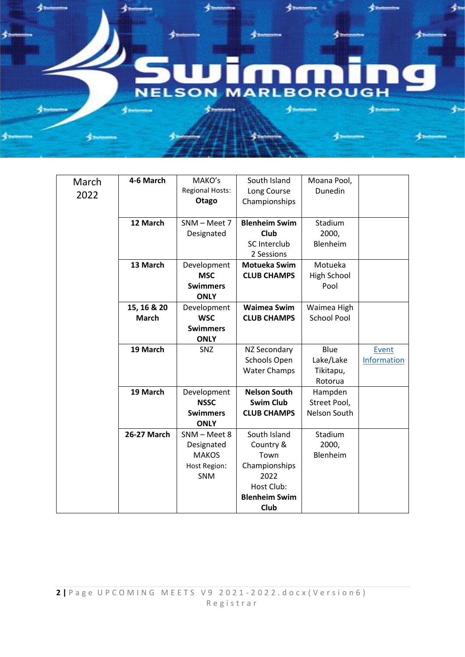## **NELSON RLBOROUGH** N Δ حدي

头

≰.

| March | 4-6 March          | MAKO's                 | South Island         | Moana Pool,        |             |
|-------|--------------------|------------------------|----------------------|--------------------|-------------|
| 2022  |                    | <b>Regional Hosts:</b> | Long Course          | Dunedin            |             |
|       |                    | Otago                  | Championships        |                    |             |
|       |                    |                        |                      |                    |             |
|       | 12 March           | SNM - Meet 7           | <b>Blenheim Swim</b> | Stadium            |             |
|       |                    | Designated             | Club                 | 2000,              |             |
|       |                    |                        | <b>SC Interclub</b>  | Blenheim           |             |
|       |                    |                        | 2 Sessions           |                    |             |
|       | 13 March           | Development            | <b>Motueka Swim</b>  | Motueka            |             |
|       |                    | <b>MSC</b>             | <b>CLUB CHAMPS</b>   | High School        |             |
|       |                    | <b>Swimmers</b>        |                      | Pool               |             |
|       |                    | <b>ONLY</b>            |                      |                    |             |
|       | 15, 16 & 20        | Development            | <b>Waimea Swim</b>   | Waimea High        |             |
|       | <b>March</b>       | <b>WSC</b>             | <b>CLUB CHAMPS</b>   | <b>School Pool</b> |             |
|       |                    | <b>Swimmers</b>        |                      |                    |             |
|       |                    | <b>ONLY</b>            |                      |                    |             |
|       | 19 March           | SNZ                    | NZ Secondary         | Blue               | Event       |
|       |                    |                        | Schools Open         | Lake/Lake          | Information |
|       |                    |                        | <b>Water Champs</b>  | Tikitapu,          |             |
|       |                    |                        |                      | Rotorua            |             |
|       | 19 March           | Development            | <b>Nelson South</b>  | Hampden            |             |
|       |                    | <b>NSSC</b>            | <b>Swim Club</b>     | Street Pool,       |             |
|       |                    | <b>Swimmers</b>        | <b>CLUB CHAMPS</b>   | Nelson South       |             |
|       |                    | <b>ONLY</b>            |                      |                    |             |
|       | <b>26-27 March</b> | SNM - Meet 8           | South Island         | Stadium            |             |
|       |                    | Designated             | Country &            | 2000,              |             |
|       |                    | <b>MAKOS</b>           | Town                 | Blenheim           |             |
|       |                    | Host Region:           | Championships        |                    |             |
|       |                    | SNM                    | 2022                 |                    |             |
|       |                    |                        | Host Club:           |                    |             |
|       |                    |                        | <b>Blenheim Swim</b> |                    |             |
|       |                    |                        | Club                 |                    |             |

参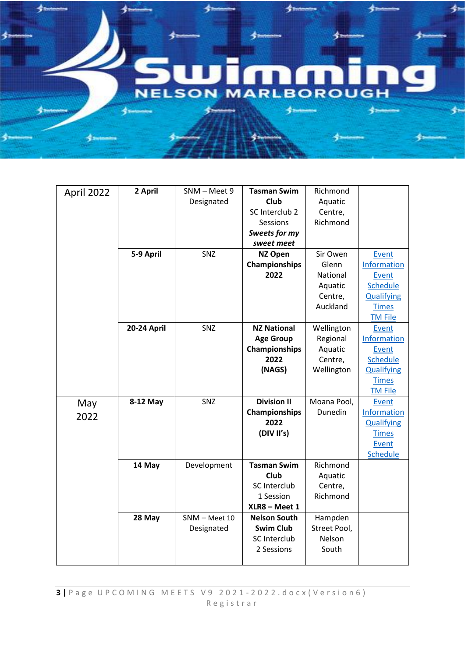

| April 2022 | 2 April     | SNM - Meet 9  | <b>Tasman Swim</b>  | Richmond     |                   |
|------------|-------------|---------------|---------------------|--------------|-------------------|
|            |             | Designated    | <b>Club</b>         | Aquatic      |                   |
|            |             |               | SC Interclub 2      | Centre,      |                   |
|            |             |               | Sessions            | Richmond     |                   |
|            |             |               | Sweets for my       |              |                   |
|            |             |               | sweet meet          |              |                   |
|            | 5-9 April   | SNZ           | <b>NZ Open</b>      | Sir Owen     | Event             |
|            |             |               | Championships       | Glenn        | Information       |
|            |             |               | 2022                | National     | Event             |
|            |             |               |                     | Aquatic      | Schedule          |
|            |             |               |                     | Centre,      | <b>Qualifying</b> |
|            |             |               |                     | Auckland     | <b>Times</b>      |
|            |             |               |                     |              | <b>TM File</b>    |
|            | 20-24 April | SNZ           | <b>NZ National</b>  | Wellington   | Event             |
|            |             |               | <b>Age Group</b>    | Regional     | Information       |
|            |             |               | Championships       | Aquatic      | Event             |
|            |             |               | 2022                | Centre,      | <b>Schedule</b>   |
|            |             |               | (NAGS)              | Wellington   | <b>Qualifying</b> |
|            |             |               |                     |              | <b>Times</b>      |
|            |             |               |                     |              | <b>TM File</b>    |
| May        | 8-12 May    | SNZ           | <b>Division II</b>  | Moana Pool,  | Event             |
| 2022       |             |               | Championships       | Dunedin      | Information       |
|            |             |               | 2022                |              | <b>Qualifying</b> |
|            |             |               | (DIV II's)          |              | <b>Times</b>      |
|            |             |               |                     |              | Event             |
|            |             |               |                     |              | <b>Schedule</b>   |
|            | 14 May      | Development   | <b>Tasman Swim</b>  | Richmond     |                   |
|            |             |               | Club                | Aquatic      |                   |
|            |             |               | SC Interclub        | Centre,      |                   |
|            |             |               | 1 Session           | Richmond     |                   |
|            |             |               | XLR8 - Meet 1       |              |                   |
|            | 28 May      | SNM - Meet 10 | <b>Nelson South</b> | Hampden      |                   |
|            |             | Designated    | <b>Swim Club</b>    | Street Pool, |                   |
|            |             |               | SC Interclub        | Nelson       |                   |
|            |             |               | 2 Sessions          | South        |                   |
|            |             |               |                     |              |                   |